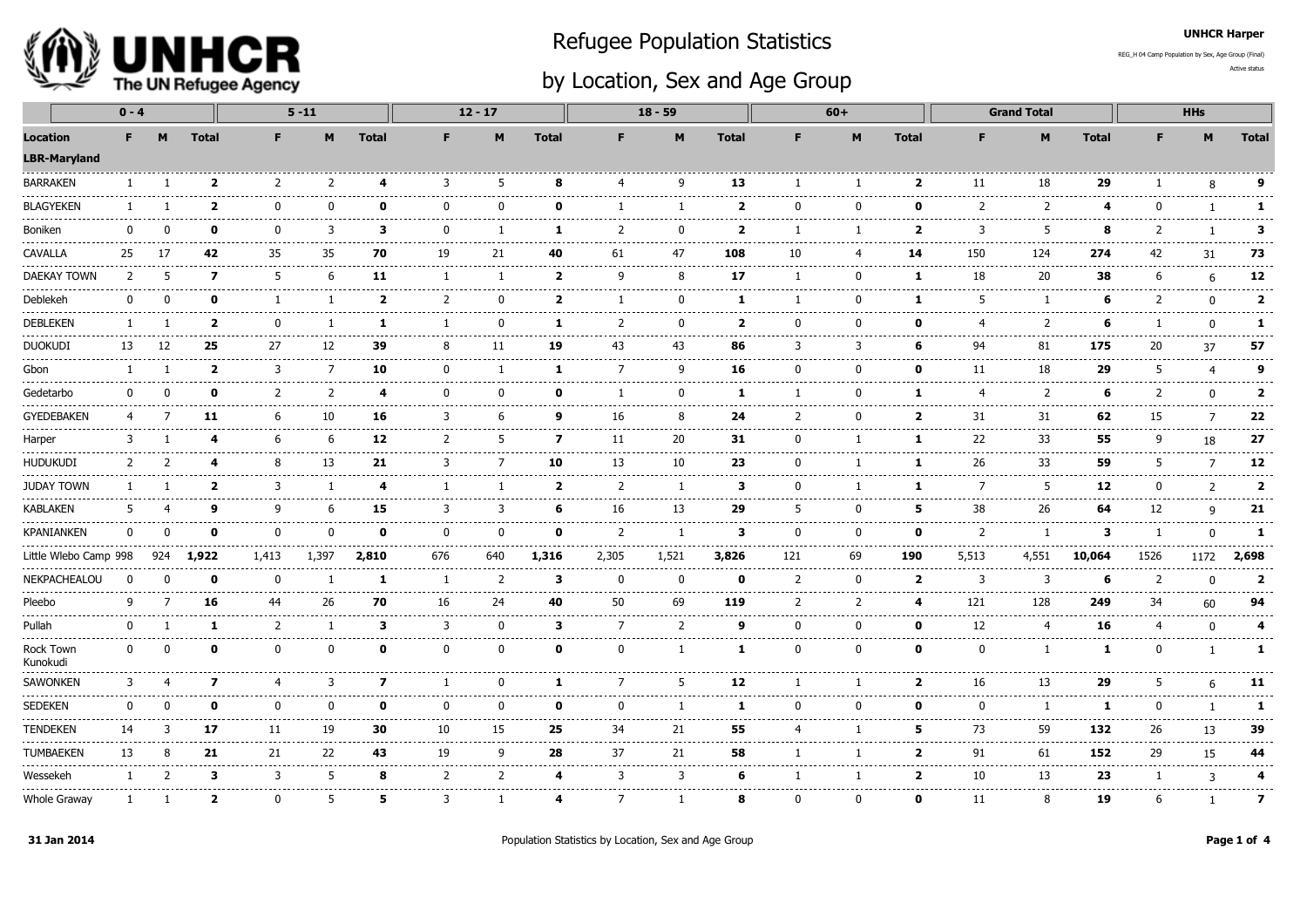

## Refugee Population Statistics

REG\_H 04 Camp Population by Sex, Age Group (Final)

## by Location, Sex and Age Group

Active status

UNHCR Harper

|                                               | $0 - 4$      |          |                         |                | $5 - 11$       |              |                | $12 - 17$      |                         |                          | $18 - 59$    |                         |                          | $60+$          |                         |                | <b>Grand Total</b>   |              |                |                          |                                      |
|-----------------------------------------------|--------------|----------|-------------------------|----------------|----------------|--------------|----------------|----------------|-------------------------|--------------------------|--------------|-------------------------|--------------------------|----------------|-------------------------|----------------|----------------------|--------------|----------------|--------------------------|--------------------------------------|
| <b>Location</b><br><b>LBR-Maryland</b>        | F            | M        | <b>Total</b>            | F              | M              | <b>Total</b> | F              | M              | <b>Total</b>            | F                        | M            | <b>Total</b>            | F                        | M              | <b>Total</b>            | F              | M                    | <b>Total</b> | F              | M                        | <b>Total</b>                         |
| <b>BARRAKEN</b>                               | $\mathbf{1}$ |          | $\overline{\mathbf{2}}$ | 2              | 2              | 4            | 3              | 5              | 8                       | $\overline{a}$           | q            | 13                      | $\mathbf{1}$             | -1             | $\overline{\mathbf{2}}$ | 11             | 18                   | 29           |                | 8                        | 9                                    |
| <b>BLAGYEKEN</b>                              | 1            |          | $\overline{\mathbf{2}}$ | $\Omega$       | $\Omega$       | 0            | $\Omega$       | $\Omega$       | 0                       |                          |              | $\overline{\mathbf{2}}$ | $\Omega$                 | O              | 0                       | 2              | 2                    | 4            | O              | $\mathbf{1}$             | $\mathbf{1}$                         |
| <b>Boniken</b>                                | $\mathbf{0}$ | ŋ        | 0                       | $\mathbf{0}$   | 3              | 3            | $\Omega$       |                | 1                       | $\overline{\phantom{a}}$ | 0            | $\overline{2}$          |                          |                | $\overline{\mathbf{2}}$ | 3              | 5                    | 8            | 2              |                          | 3                                    |
| <b>CAVALLA</b>                                | 25           | 17       | 42                      | .<br>35        | .<br>35        | 70           | 19             | 21             | 40                      | 61                       | 47           | 108                     | 10                       |                | 14                      | 150            | $\frac{1}{2}$<br>124 | 274          | 42             | 31                       | ------<br>73                         |
| <b>DAEKAY TOWN</b>                            | 2            | 5        | $\overline{\mathbf{z}}$ | -5             | 6              | 11           |                |                | $\overline{2}$          | q                        | 8            | 17                      |                          | 0              | 1                       | 18             | 20                   | 38           | 6              | 6                        | .<br>12                              |
| Deblekeh                                      | $\Omega$     |          | 0                       | -1             | 1              | 2            | 2              | $\Omega$       | $\overline{\mathbf{2}}$ |                          | $\mathbf{0}$ | 1                       | -1                       | 0              | 1                       | 5              | -1                   | 6            | 2              | $\mathbf 0$              | د د د د د<br>$\overline{\mathbf{2}}$ |
| <b>DEBLEKEN</b>                               | 1            |          | $\overline{\mathbf{2}}$ | $\Omega$       | 1              | 1            |                | $\Omega$       | 1                       | 2                        | 0            | $\overline{2}$          | $\Omega$                 | $\mathbf{0}$   | 0                       | 4              | $\overline{2}$       | 6            |                | $\mathbf 0$              | $\mathbf{1}$                         |
| <b>DUOKUDI</b>                                | 13           | 12       | 25                      | -----<br>27    | 12             | 39           | 8              | 11             | 19                      | 43                       | 43           | 86                      | 3                        | 3              | 6                       | 94             | 81                   | 175          | 20             | 37                       | .<br>57                              |
| Gbon                                          | -1           |          | 2                       | -----<br>3     | 7              | 10           | <sup>0</sup>   |                | -1                      | 7                        | q            | 16                      | n                        | n              | $\Omega$                | 11             | 18                   | 29           | 5              | ------<br>$\overline{4}$ | .<br>9                               |
| Gedetarbo                                     | $\Omega$     |          | ŋ                       | $\overline{z}$ | $\overline{2}$ | 4            | $\Omega$       | n              | n                       |                          | O            | 1                       |                          | U              | 1                       | 4              | 2                    | 6            | $\mathcal{P}$  | $\Omega$                 | $\overline{\mathbf{2}}$              |
| <b>GYEDEBAKEN</b>                             | 4            |          | 11                      | -6             | 10             | 16           | 3              | 6              | 9                       | 16                       | 8            | 24                      | 2                        | n              | $\overline{2}$          | 31             | 31                   | 62           | 15             | $\overline{7}$           | 22                                   |
| Harper                                        | 3            |          | 4                       | 6              | 6              | 12           | $\overline{2}$ | 5              | $\mathbf{z}$            | 11                       | 20           | 31                      | $\mathbf{0}$             |                | 1                       | 22             | 33                   | 55           | q              | 18                       | .<br>27                              |
| ------<br>----------------<br><b>HUDUKUDI</b> | 2            |          | 4                       | 8              | .<br>13        | ------<br>21 | ------<br>3    | -7             | 10                      | .<br>13                  | .<br>10      | ---------<br>23         | ------<br>$\Omega$       |                | 1                       | 2222222<br>26  | .<br>33              | ------<br>59 | ---------<br>5 | $\overline{7}$           | -----------------<br>12              |
| <b>JUDAY TOWN</b>                             |              |          | $\overline{\mathbf{2}}$ | 3              | 1              | 4            |                |                | $\overline{2}$          | 2                        | -1           | 3                       | <sup>0</sup>             |                | 1                       | $\overline{7}$ | 5                    | 12           | $\Omega$       | 2                        | --------------<br>$\overline{2}$     |
| <b>KABLAKEN</b>                               | 5            |          | 9                       | q              | 6              | 15           | 3              | 3              | 6                       | 16                       | 13           | 29                      | -5                       | 0              | 5                       | 38             | 26                   | 64           | 12             | 9                        | 21                                   |
| <b>KPANIANKEN</b>                             | 0            | n        | 0                       | <sup>0</sup>   | 0              | 0            | $\Omega$       | 0              | $\Omega$                | 2                        | 1            | 3                       | $\Omega$                 | $\Omega$       | 0                       | 2              | $\overline{1}$       | 3            |                | $\mathbf{0}$             | 1                                    |
| Little Wlebo Camp 998                         |              | 924      | 1,922                   | 1,413          | 1,397          | 2,810        | -----<br>676   | 640            | 1,316                   | 2,305                    | 1,521        | 3,826                   | 121                      | 69             | 190                     | 5,513          | 4,551                | 10,064       | 1526           | 1172                     | .<br>2,698                           |
| NEKPACHEALOU                                  | n            | ŋ        | 0                       | $\Omega$       | -1             | -1           |                | $\overline{2}$ | 3                       | $\Omega$                 | $\Omega$     | n                       | $\overline{z}$           | n              | $\overline{2}$          | 3              | 3                    | 6            | $\mathcal{P}$  | $\Omega$                 | $\overline{2}$                       |
| Pleebo                                        | q            |          | 16                      | 44             | 26             | 70           | 16             | 24             | 40                      | 50                       | 69           | 119                     | $\overline{\phantom{a}}$ | $\overline{2}$ | 4                       | 121            | 128                  | 249          | 34             | 60                       | 94                                   |
| Pullah                                        | 0            |          | 1                       | 2              | 1              | 3            | 3              | 0              | 3                       | 7                        | 2            | 9                       | 0                        | $\mathbf{0}$   | 0                       | 12             | $\overline{4}$       | 16           | 4              | $\mathbf{0}$             | 4                                    |
| Rock Town<br>Kunokudi                         | 0            | $\Omega$ | 0                       | $\mathbf{0}$   | 0              | 0            | 0              | $\mathbf 0$    | $\mathbf{o}$            | $\Omega$                 | $\mathbf{1}$ | 1                       | 0                        | 0              | 0                       | 0              | -1                   | 1            | 0              | $\mathbf{1}$             | 1                                    |
| <b>SAWONKEN</b><br>.                          | 3            |          | $\overline{\mathbf{z}}$ | 4              | 3              | 7            |                | $\Omega$       | -1                      |                          | 5            | 12<br>------            |                          | -1             | $\overline{\mathbf{2}}$ | 16             | 13<br>--------       | 29           | 5              | 6                        | 11<br>.                              |
| <b>SEDEKEN</b>                                | 0            |          | 0                       | <sup>0</sup>   | 0              | 0            | $\Omega$       | $\Omega$       | 0                       | $\Omega$                 | ı            | 1                       | <sup>0</sup>             | O              | 0                       | $\Omega$       | -1                   | 1            | O              | $\mathbf{1}$             | $\mathbf{1}$                         |
| <b>TENDEKEN</b>                               | 14           | З        | 17                      | 11             | 19             | 30           | 10             | 15             | 25                      | 34                       | 21           | 55                      | 4                        |                | 5                       | 73             | 59                   | 132          | 26             | 13                       | 39                                   |
| <b>TUMBAEKEN</b>                              | 13           | 8        | 21                      | 21             | 22             | 43           | 19             | 9              | 28                      | 37                       | 21           | 58                      |                          | $\mathbf{1}$   | $\overline{\mathbf{2}}$ | 91             | 61                   | 152          | 29             | 15                       | 44                                   |
| Wessekeh                                      | -1           |          | 3                       | 3              | 5              | 8            | $\overline{2}$ | 2              | 4                       | 3                        | 3            | 6                       |                          | -1             | $\overline{2}$          | 10             | 13                   | 23           |                | 3                        | 4<br>--------                        |
| <b>Whole Graway</b>                           | -1           |          | 2                       | $\mathbf{0}$   | 5              | 5            | 3              | ı              |                         | 7                        | ı            | 8                       | $\mathbf{0}$             | O              | 0                       | 11             | 8                    | 19           | 6              |                          | $\overline{\mathbf{z}}$              |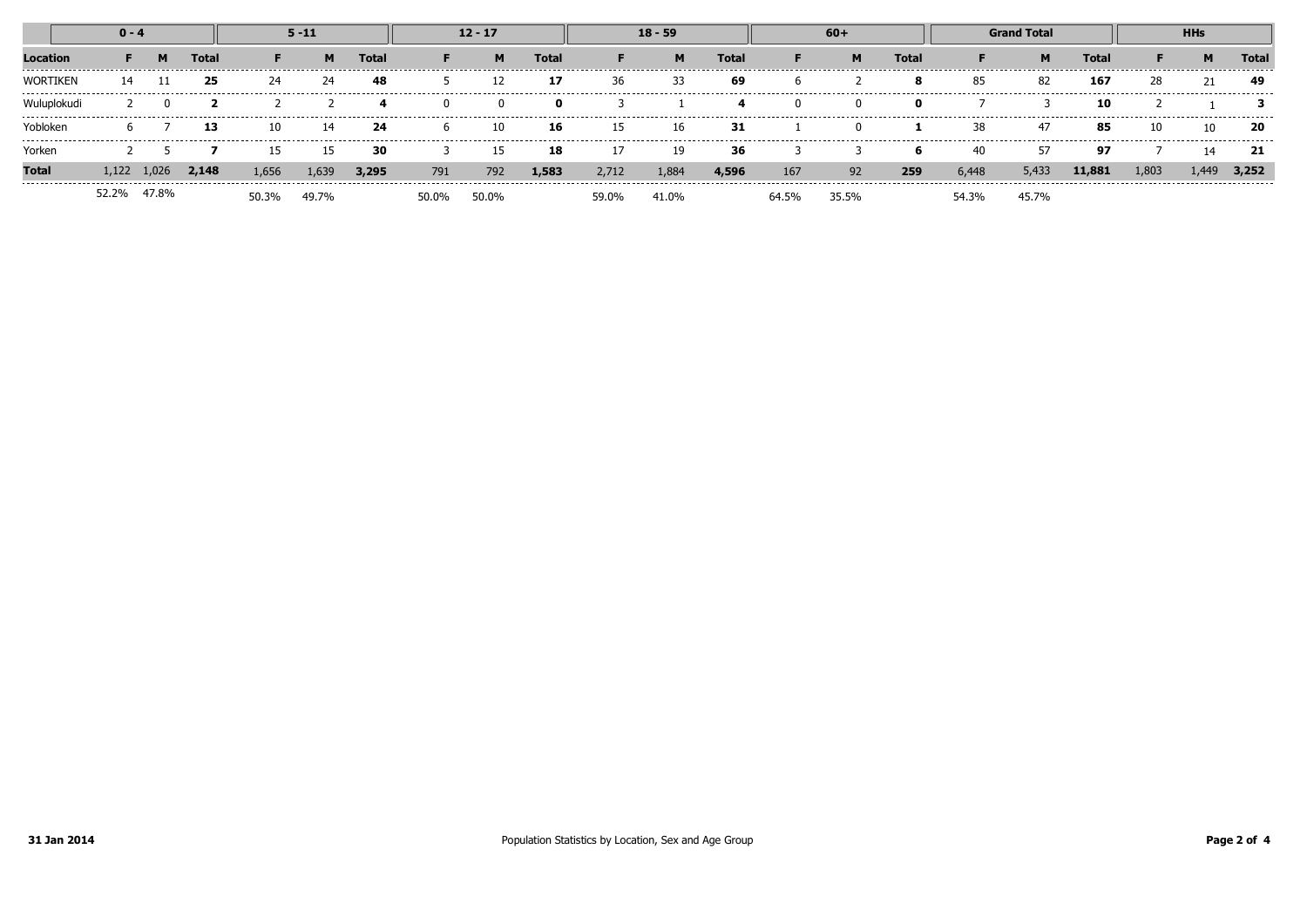|                               | $0 - 4$ |             |       | $5 - 11$         |                |       | $12 - 17$      |       |              | $18 - 59$            |                 |       | $60+$ |                                        |       | <b>Grand Total</b>     |         |                  | <b>HHs</b>                       |       |       |
|-------------------------------|---------|-------------|-------|------------------|----------------|-------|----------------|-------|--------------|----------------------|-----------------|-------|-------|----------------------------------------|-------|------------------------|---------|------------------|----------------------------------|-------|-------|
|                               |         | м           | Total |                  | м              | Total |                | M     | <b>Total</b> |                      | M               | Total |       |                                        | Total |                        | M       | Total            |                                  |       | Total |
| WORTIKEN                      | 14      |             | 25    | ----------<br>24 | --------<br>24 | 48    | -------------- | ΠZ    | 17           | --------------<br>36 | ---------<br>33 | 69    | h     | -------------------------------------- | -8    | ----------------<br>85 | .<br>82 | ---------<br>167 | 28                               |       | -49   |
|                               |         |             |       |                  |                |       |                |       |              |                      |                 |       |       |                                        |       |                        |         | 10               |                                  |       |       |
| robloken                      |         |             | 13    | 10               | 14             | 24    | h              | 10    | 16           | 15                   | 16              | 31    |       |                                        |       | 38                     | 47      | 85               |                                  | 10    | -20   |
| Yorken                        |         |             |       |                  | 15             | 30    |                | 15    | 18           |                      | 19              | 36    |       |                                        |       | 40                     |         | 97               | -------------------------------- | 14    | 21    |
| <b>Total</b><br>------------- | l.122   | .026        | 2.148 | 1,656            | 1,639          | 3,295 | 791            | 792   | 1,583        | 2,712                | 1.884           | 4,596 | 167   | 92                                     | 259   | 6,448                  | 5,433   | 11,881           | 1,803                            | 1.449 | 3,252 |
|                               |         | 52.2% 47.8% |       | 50.3%            | 49.7%          |       | 50.0%          | 50.0% |              |                      | 41.0%           |       |       | 35.5%                                  |       |                        | 45.7%   |                  |                                  |       |       |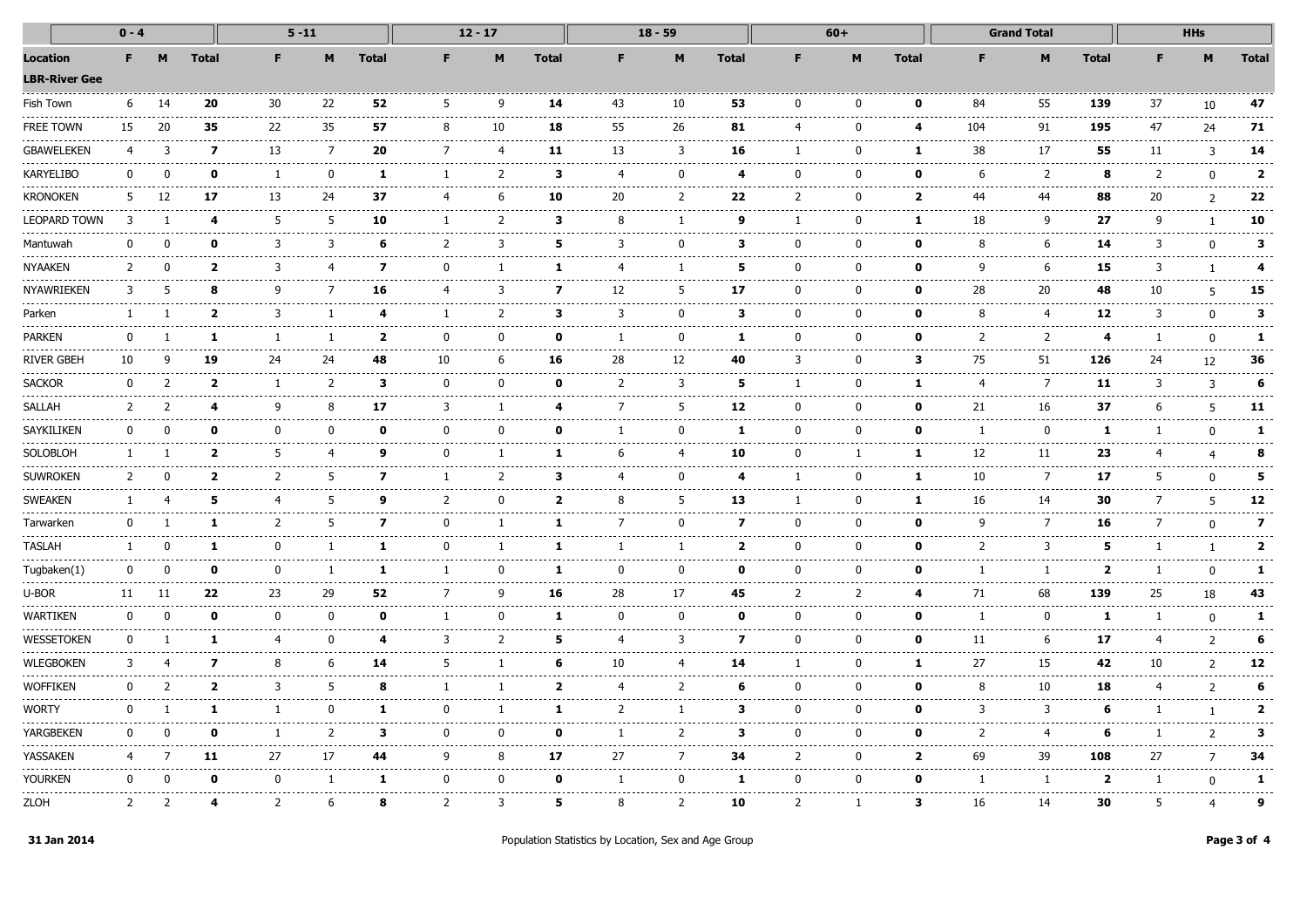|                                  | $0 - 4$            |              |                | $5 - 11$           |                                 |                | $12 - 17$ |                                                                                                                                                                                                                                                                                                                                                                                                   |                | $18 - 59$             |                   |                |                                         | $60+$        |              | <b>Grand Total</b> |                    |                                   | <b>HHs</b>   |               |                         |
|----------------------------------|--------------------|--------------|----------------|--------------------|---------------------------------|----------------|-----------|---------------------------------------------------------------------------------------------------------------------------------------------------------------------------------------------------------------------------------------------------------------------------------------------------------------------------------------------------------------------------------------------------|----------------|-----------------------|-------------------|----------------|-----------------------------------------|--------------|--------------|--------------------|--------------------|-----------------------------------|--------------|---------------|-------------------------|
| Location<br><b>LBR-River Gee</b> | F.                 | M            | <b>Total</b>   | F.                 | M                               | <b>Total</b>   | F.        | M                                                                                                                                                                                                                                                                                                                                                                                                 | <b>Total</b>   | F                     | M                 | <b>Total</b>   | F.                                      | M            | <b>Total</b> |                    | M                  | <b>Total</b>                      |              | M             | <b>Total</b>            |
| Fish Town                        | 6                  | 14           | 20             | 30                 | 22                              | 52             | 5         | 9                                                                                                                                                                                                                                                                                                                                                                                                 | 14             | 43                    | 10                | 53             | $\Omega$                                | n            | $\Omega$     | 84                 | 55                 | 139                               | 37           | 10            | 47                      |
| FREE TOWN                        | 15                 | 20           | 35             | 22                 | 35<br>----                      | 57             | 8         | 10                                                                                                                                                                                                                                                                                                                                                                                                | 18             | 55                    | 26                | 81<br>-----    | $\overline{4}$                          | $\Omega$     | 4            | 104                | 91                 | 195                               | 47           | 24            | 71                      |
| GBAWELEKEN                       | 4                  | 3            | 7              | 13                 | 7                               | 20             | 7         | $\overline{4}$                                                                                                                                                                                                                                                                                                                                                                                    | 11             | 13                    | 3                 | 16             | 1                                       | <sup>0</sup> | 1            | 38                 | 17<br>.            | 55                                | 11           | 3             | 14                      |
| KARYELIBO                        | 0                  | $\mathbf{0}$ | 0              | 1                  | 0                               | 1              | 1         | $\overline{2}$                                                                                                                                                                                                                                                                                                                                                                                    | 3              | 4                     | $\mathbf{0}$      | 4              | $\Omega$                                | 0            | 0            | 6                  | 2<br>-------       | 8<br>$- - - - -$                  | 2            | 0             | $\overline{2}$          |
| Kronoken                         | 5                  | 12           | 17             | 13                 | -----<br>24                     | 37             | 4         | 6                                                                                                                                                                                                                                                                                                                                                                                                 | 10             | 20                    | 2                 | 22             | 2                                       | $\Omega$     | 2            | -------<br>44      | 44                 | 88                                | 20           | 2             | 22                      |
| LEOPARD TOWN                     | 3                  |              | 4              | 5                  | 5                               | 10             | 1         | 2                                                                                                                                                                                                                                                                                                                                                                                                 | 3              | 8                     | -1                | 9              | 1                                       | $\mathbf{0}$ | 1            | 18                 | 9                  | 27                                | 9            |               | 10                      |
| Mantuwah                         |                    | $\mathbf{0}$ | ŋ              | 3                  | 3                               | 6<br>$- - - -$ | 2         | 3                                                                                                                                                                                                                                                                                                                                                                                                 | 5              | 3                     | $\mathbf{0}$      | 3              | $\mathbf{0}$                            | ŋ            | 0            | 8<br>المراسرين     | 6<br>---------     | 14<br>----                        | 3            | U             |                         |
| NYAAKEN                          | $\mathcal{L}$      | O            | 2              | 3                  | 4                               | 7              | $\Omega$  | $\mathbf{1}$                                                                                                                                                                                                                                                                                                                                                                                      |                | 4                     | -1<br>-----       | 5              | $\Omega$                                |              | 0            | q<br>-------       | 6<br>.             | 15<br>.                           | 3            |               |                         |
| NYAWRIEKEN                       | 3                  |              | я              | q                  | 7                               | 16             | 4         | 3                                                                                                                                                                                                                                                                                                                                                                                                 | 7              | 12                    | 5                 | 17             | $\Omega$                                | <sup>n</sup> | n            | 28                 | 20                 | 48                                | 10           | 5             | 15                      |
| Parken                           | 1                  |              | 2              | 3                  | -1                              | 4              | -1        | 2                                                                                                                                                                                                                                                                                                                                                                                                 | 3              | 3                     | $\mathbf{0}$      | 3              | $\mathbf{0}$                            | <sup>n</sup> | $\mathbf o$  | 8                  | 4<br>$- - -$       | 12                                | 3            | $\mathbf{0}$  | 3                       |
| PARKEN                           | 0                  | -1           | 1              | 1<br>.             | 1<br>-----                      | $\overline{2}$ | 0         | 0<br>$\sim$ $\sim$ $\sim$ $\sim$                                                                                                                                                                                                                                                                                                                                                                  | 0              | -1                    | $\mathbf{0}$<br>. | 1              | 0<br>----                               | 0            | 0            | 2<br>-----         | 2<br>.             | 4<br>.                            | -1           | $\mathbf{0}$  | 1                       |
| <b>RIVER GBEH</b>                | 10<br>------------ | 9            | 19             | 24<br>------------ | 24<br>.                         | 48<br>-----    | 10<br>.   | 6<br>.                                                                                                                                                                                                                                                                                                                                                                                            | 16             | 28<br>------          | 12<br>------      | 40<br>-------- | 3<br>.                                  | <sup>0</sup> | 3            | 75<br>-------      | 51<br>------------ | 126<br>------                     | 24<br>------ | 12            | 36                      |
| <b>SACKOR</b>                    | 0                  | 2            | 2              | -1                 | 2                               | 3              | $\Omega$  | 0                                                                                                                                                                                                                                                                                                                                                                                                 | n              | 2                     | 3                 | 5              | ı                                       |              | 1            | 4                  | 7<br>-----         | 11                                | 3            | 3             | 6                       |
| SALLAH                           | 2                  | 2            | 4              | 9                  | 8                               | 17             | 3         | -1                                                                                                                                                                                                                                                                                                                                                                                                | 4              | 7                     | 5                 | 12             | $\Omega$                                | 0            | $\mathbf o$  | 21                 | 16                 | 37                                | 6            | 5             | 11                      |
| SAYKILIKEN                       | 0                  | $\Omega$     | 0              | $\mathbf 0$<br>.   | $\mathbf 0$                     | $\mathbf{o}$   | 0         | $\mathbf{0}$                                                                                                                                                                                                                                                                                                                                                                                      | $\mathbf{0}$   | 1                     | $\Omega$          | 1              | 0                                       | $\Omega$     | $\mathbf o$  | -1<br>------       | 0<br>-------       | 1<br>----                         | -1           | $\mathbf{0}$  | 1                       |
| SOLOBLOH                         | $\mathbf{1}$       |              | $\overline{2}$ | 5<br>-----         | $\overline{4}$<br>.             | 9              | 0<br>.    | 1<br>$\frac{1}{2} \frac{1}{2} \frac{1}{2} \frac{1}{2} \frac{1}{2} \frac{1}{2} \frac{1}{2} \frac{1}{2} \frac{1}{2} \frac{1}{2} \frac{1}{2} \frac{1}{2} \frac{1}{2} \frac{1}{2} \frac{1}{2} \frac{1}{2} \frac{1}{2} \frac{1}{2} \frac{1}{2} \frac{1}{2} \frac{1}{2} \frac{1}{2} \frac{1}{2} \frac{1}{2} \frac{1}{2} \frac{1}{2} \frac{1}{2} \frac{1}{2} \frac{1}{2} \frac{1}{2} \frac{1}{2} \frac{$ | 1              | 6                     | 4<br>والمستحدث    | 10<br>-------  | $\mathbf{0}$<br>----                    | -1           | 1            | 12<br>-------      | 11<br>--------     | 23<br>$- - - - -$                 |              | 4             | 8                       |
| <b>SUWROKEN</b>                  | $\mathcal{P}$      |              | $\overline{2}$ | 2                  | 5                               | 7              | 1         | $\overline{2}$                                                                                                                                                                                                                                                                                                                                                                                    | з              | 4                     | $\mathbf{0}$      | 4              | 1                                       | 0            | 1            | 10                 | 7<br>------        | 17                                | 5            |               |                         |
| <b>SWEAKEN</b>                   |                    |              | 5              | 4                  | 5                               | 9              | 2         | 0                                                                                                                                                                                                                                                                                                                                                                                                 | 2              | 8                     | 5                 | 13             | ı                                       | ŋ            | п            | 16                 | 14                 | 30                                |              |               | 12                      |
| Tarwarken                        | 0                  |              | п.             | 2                  | 5                               | 7              | 0         | -1                                                                                                                                                                                                                                                                                                                                                                                                | 1.             | 7                     | 0                 | 7              | $\Omega$                                | $\Omega$     | 0            | 9                  | 7                  | 16                                | 7            | n             | $\overline{\mathbf{z}}$ |
| TASLAH                           | $\mathbf{1}$       | 0            | 1              | 0<br>------        | 1                               | 1              | $\Omega$  | 1                                                                                                                                                                                                                                                                                                                                                                                                 | 1              | -1                    | 1                 | $\overline{2}$ | $\Omega$<br>$\sim$ $\sim$ $\sim$ $\sim$ | $\mathbf{0}$ | 0<br>.       | 2<br>-------       | 3<br>.             | 5<br>-----                        | -1           | $\mathbf{1}$  | $\mathbf{2}$            |
| Tugbaken(1)                      | 0                  | 0            | 0<br>-----     | 0<br>-------       | 1<br>.                          | 1<br>------    | 1         | $\mathbf{0}$<br>$- - - - -$                                                                                                                                                                                                                                                                                                                                                                       | 1              | $\mathbf{0}$<br>----- | 0<br>------       | 0              | 0<br>$- - - - -$                        | 0            | 0            | -1<br>-----        | 1<br>-------       | $\overline{\mathbf{2}}$<br>------ | -1           | 0             | 1                       |
| u-bor                            | 11                 | 11           | 22             | 23                 | 29                              | 52             | 7         | 9                                                                                                                                                                                                                                                                                                                                                                                                 | 16             | 28                    | 17                | 45             | $\overline{2}$                          | 2            | 4            | 71                 | 68                 | 139                               | 25           | 18            | 43                      |
| WARTIKEN                         | <sup>n</sup>       | n            | n              | $\mathbf{0}$       | $\bf{0}$                        | 0              |           | 0                                                                                                                                                                                                                                                                                                                                                                                                 | 1              | $\Omega$              | 0                 | n              | $\Omega$                                | ŋ            | n            | -1                 | 0                  | 1                                 |              |               |                         |
| WESSETOKEN                       | 0                  |              | 1              | 4                  | $\Omega$                        | 4              | 3         | 2                                                                                                                                                                                                                                                                                                                                                                                                 | 5              | 4                     | 3                 | 7              | 0                                       | <sup>0</sup> | 0            | 11                 | 6                  | 17                                | 4            | 2             | 6                       |
| <b>WLEGBOKEN</b>                 | 3                  | 4            | 7              | 8                  | 6<br>$\cdots\cdots\cdots\cdots$ | 14             | 5         | 1                                                                                                                                                                                                                                                                                                                                                                                                 | 6              | 10                    | 4                 | 14             | 1                                       | 0            | 1            | 27<br>--------     | 15<br>--------     | 42<br>-----                       | 10           | 2             | 12                      |
| <b>WOFFIKEN</b>                  | $\Omega$           | 2            | 2              | 3                  | 5                               | 8              | -1        | -1                                                                                                                                                                                                                                                                                                                                                                                                | $\overline{2}$ | 4                     | 2                 | 6              | 0                                       | $\Omega$     | 0            | 8                  | 10                 | 18                                | 4            | 2             | 6                       |
| Worty                            | $\mathbf{0}$       |              | 1              | $\mathbf{1}$       | 0                               | 1              | $\Omega$  | -1                                                                                                                                                                                                                                                                                                                                                                                                | 1              | 2                     | $\mathbf{1}$      | 3              | $\mathbf{0}$                            | $\Omega$     | 0            | 3                  | 3                  | 6                                 |              |               | 2                       |
| YARGBEKEN                        | <sup>0</sup>       | O            | 0              | -1                 | $\overline{2}$<br>----          | 3              | $\Omega$  | 0                                                                                                                                                                                                                                                                                                                                                                                                 | 0              | -1                    | 2                 | 3              | $\Omega$                                | <sup>0</sup> | 0            | 2                  | 4<br>-------       | -6                                |              | $\mathcal{P}$ | з                       |
| YASSAKEN                         |                    |              | 11             | 27                 | 17                              | 44             | 9         | 8                                                                                                                                                                                                                                                                                                                                                                                                 | 17             | 27                    | 7<br>------       | 34             | 2                                       | n            | $\mathbf{2}$ | 69                 | 39<br>.            | 108                               | 27           |               | 34                      |
| Yourken                          | 0                  |              | 0              | 0                  | 1                               | 1.             | 0         | 0                                                                                                                                                                                                                                                                                                                                                                                                 | 0              |                       | 0                 | 1              | $\Omega$                                | 0            | 0            | -1                 | 1                  | $\overline{2}$                    | -1           | n             | 1                       |
| <b>ZLOH</b>                      | 2                  |              |                | 2                  | h                               | 8              | 2         | 3                                                                                                                                                                                                                                                                                                                                                                                                 | 5              | 8                     | 2                 | 10             | 2                                       |              | 3            | 16                 | 14                 | 30                                | 5            |               | 9                       |